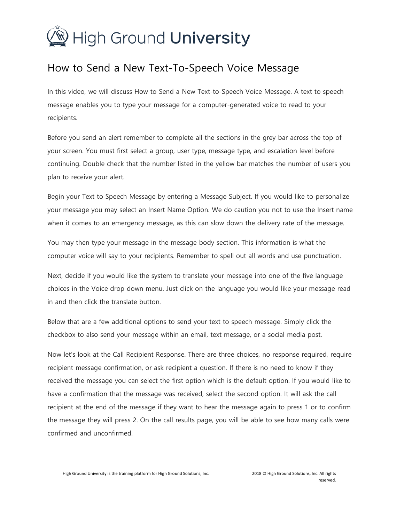## High Ground University

## How to Send a New Text-To-Speech Voice Message

In this video, we will discuss How to Send a New Text-to-Speech Voice Message. A text to speech message enables you to type your message for a computer-generated voice to read to your recipients.

Before you send an alert remember to complete all the sections in the grey bar across the top of your screen. You must first select a group, user type, message type, and escalation level before continuing. Double check that the number listed in the yellow bar matches the number of users you plan to receive your alert.

Begin your Text to Speech Message by entering a Message Subject. If you would like to personalize your message you may select an Insert Name Option. We do caution you not to use the Insert name when it comes to an emergency message, as this can slow down the delivery rate of the message.

You may then type your message in the message body section. This information is what the computer voice will say to your recipients. Remember to spell out all words and use punctuation.

Next, decide if you would like the system to translate your message into one of the five language choices in the Voice drop down menu. Just click on the language you would like your message read in and then click the translate button.

Below that are a few additional options to send your text to speech message. Simply click the checkbox to also send your message within an email, text message, or a social media post.

Now let's look at the Call Recipient Response. There are three choices, no response required, require recipient message confirmation, or ask recipient a question. If there is no need to know if they received the message you can select the first option which is the default option. If you would like to have a confirmation that the message was received, select the second option. It will ask the call recipient at the end of the message if they want to hear the message again to press 1 or to confirm the message they will press 2. On the call results page, you will be able to see how many calls were confirmed and unconfirmed.

High Ground University is the training platform for High Ground Solutions, Inc. 2018 © High Ground Solutions, Inc. All rights